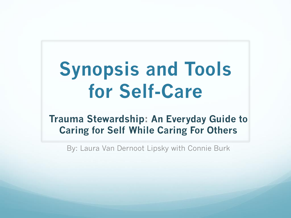# **Synopsis and Tools for Self-Care**

**Trauma Stewardship: An Everyday Guide to Caring for Self While Caring For Others**

By: Laura Van Dernoot Lipsky with Connie Burk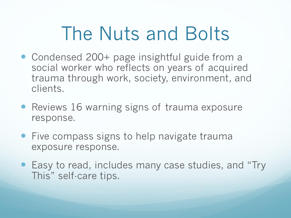## The Nuts and Bolts

- Condensed 200+ page insightful guide from a social worker who reflects on years of acquired trauma through work, society, environment, and clients.
- Reviews 16 warning signs of trauma exposure response.
- Five compass signs to help navigate trauma exposure response.
- Easy to read, includes many case studies, and "Try" This" self-care tips.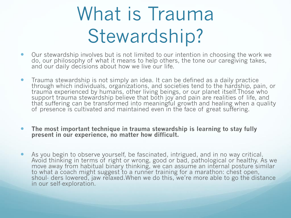# What is Trauma Stewardship?

- Our stewardship involves but is not limited to our intention in choosing the work we do, our philosophy of what it means to help others, the tone our caregiving takes, and our daily decisions about how we live our life.
- Trauma stewardship is not simply an idea. It can be defined as a daily practice through which individuals, organizations, and societies tend to the hardship, pain, or trauma experienced by humans, other living beings, or our planet itself.Those who support trauma stewardship believe that both joy and pain are realities of life, and that suffering can be transformed into meaningful growth and healing when a quality of presence is cultivated and maintained even in the face of great suffering.
- **The most important technique in trauma stewardship is learning to stay fully present in our experience, no matter how difficult.**
- As you begin to observe yourself, be fascinated, intrigued, and in no way critical. Avoid thinking in terms of right or wrong, good or bad, pathological or healthy. As we move away from habitual binary thinking, we can assume an internal posture similar to what a coach might suggest to a runner training for a marathon: chest open, shoul- ders lowered, jaw relaxed.When we do this, we're more able to go the distance in our self-exploration.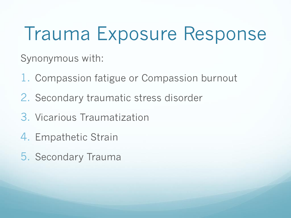## Trauma Exposure Response

Synonymous with:

- 1. Compassion fatigue or Compassion burnout
- 2. Secondary traumatic stress disorder
- 3. Vicarious Traumatization
- 4. Empathetic Strain
- 5. Secondary Trauma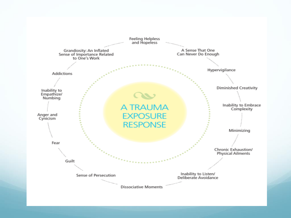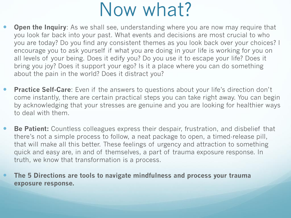### Now what?

- **Open the Inquiry**: As we shall see, understanding where you are now may require that you look far back into your past. What events and decisions are most crucial to who you are today? Do you find any consistent themes as you look back over your choices? I encourage you to ask yourself if what you are doing in your life is working for you on all levels of your being. Does it edify you? Do you use it to escape your life? Does it bring you joy? Does it support your ego? Is it a place where you can do something about the pain in the world? Does it distract you?
- **Practice Self-Care**: Even if the answers to questions about your life's direction don't come instantly, there are certain practical steps you can take right away. You can begin by acknowledging that your stresses are genuine and you are looking for healthier ways to deal with them.
- **Be Patient:** Countless colleagues express their despair, frustration, and disbelief that there's not a simple process to follow, a neat package to open, a timed-release pill, that will make all this better. These feelings of urgency and attraction to something quick and easy are, in and of themselves, a part of trauma exposure response. In truth, we know that transformation is a process.

 **The 5 Directions are tools to navigate mindfulness and process your trauma exposure response.**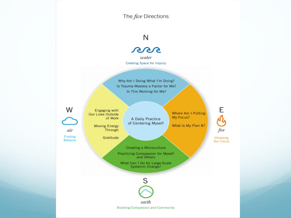The five Directions

#### N

oos

water **Creating Space for Inquiry** 

Why Am I Doing What I'm Doing? Is Trauma Mastery a Factor for Me? Is This Working for Me?

W **Our Lives Outside** 

Finding Balance

air

**Engaging with** of Work A Daily Practice of Centering Myself **Moving Energy** 

Gratitude

Through

Where Am I Putting My Focus?

What Is My Plan B?

Choosing Our Focus

fire

Ε

S

Creating a Microculture Practicing Compassion for Myself<br>and Others What Can I Do for Large-Scale **Systemic Change?** 

earth **Building Compassion and Community**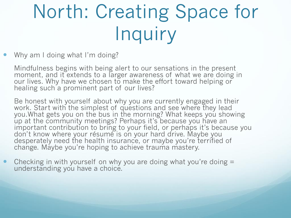# North: Creating Space for Inquiry

Why am I doing what I'm doing?

Mindfulness begins with being alert to our sensations in the present moment, and it extends to a larger awareness of what we are doing in our lives. Why have we chosen to make the effort toward helping or healing such a prominent part of our lives?

Be honest with yourself about why you are currently engaged in their work. Start with the simplest of questions and see where they lead you.What gets you on the bus in the morning? What keeps you showing up at the community meetings? Perhaps it's because you have an important contribution to bring to your field, or perhaps it's because you don't know where your résumé is on your hard drive. Maybe you desperately need the health insurance, or maybe you're terrified of change. Maybe you're hoping to achieve trauma mastery.

• Checking in with yourself on why you are doing what you're doing = understanding you have a choice.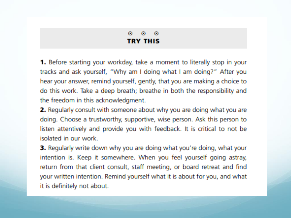#### $\odot$  $\bullet$  .  $\odot$ **TRY THIS**

**1.** Before starting your workday, take a moment to literally stop in your tracks and ask yourself, "Why am I doing what I am doing?" After you hear your answer, remind yourself, gently, that you are making a choice to do this work. Take a deep breath; breathe in both the responsibility and the freedom in this acknowledgment.

**2.** Regularly consult with someone about why you are doing what you are doing. Choose a trustworthy, supportive, wise person. Ask this person to listen attentively and provide you with feedback. It is critical to not be isolated in our work.

**3.** Regularly write down why you are doing what you're doing, what your intention is. Keep it somewhere. When you feel yourself going astray, return from that client consult, staff meeting, or board retreat and find your written intention. Remind yourself what it is about for you, and what it is definitely not about.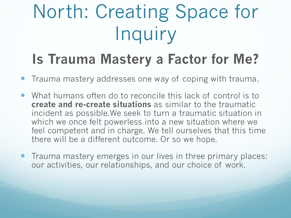# North: Creating Space for Inquiry

### **Is Trauma Mastery a Factor for Me?**

- Trauma mastery addresses one way of coping with trauma.
- What humans often do to reconcile this lack of control is to **create and re-create situations** as similar to the traumatic incident as possible.We seek to turn a traumatic situation in which we once felt powerless into a new situation where we feel competent and in charge. We tell ourselves that this time there will be a different outcome. Or so we hope.
- Trauma mastery emerges in our lives in three primary places: our activities, our relationships, and our choice of work.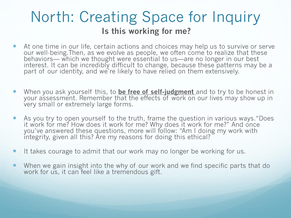### North: Creating Space for Inquiry **Is this working for me?**

- At one time in our life, certain actions and choices may help us to survive or serve our well-being.Then, as we evolve as people, we often come to realize that these behaviors— which we thought were essential to us—are no longer in our best interest. It can be incredibly difficult to change, because these patterns may be a part of our identity, and we're likely to have relied on them extensively.
- When you ask yourself this, to **be free of self-judgment** and to try to be honest in your assessment. Remember that the effects of work on our lives may show up in very small or extremely large forms.
- As you try to open yourself to the truth, frame the question in various ways."Does it work for me? How does it work for me? Why does it work for me?" And once you've answered these questions, more will follow: "Am I doing my work with integrity, given all this? Are my reasons for doing this ethical?
- It takes courage to admit that our work may no longer be working for us.
- When we gain insight into the why of our work and we find specific parts that do work for us, it can feel like a tremendous gift.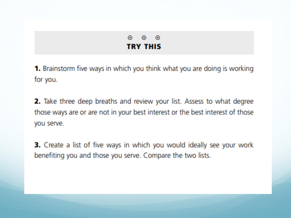#### $\odot$  $\odot$ - 0 **TRY THIS**

**1.** Brainstorm five ways in which you think what you are doing is working for you.

2. Take three deep breaths and review your list. Assess to what degree those ways are or are not in your best interest or the best interest of those you serve.

3. Create a list of five ways in which you would ideally see your work benefiting you and those you serve. Compare the two lists.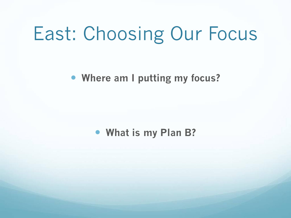### East: Choosing Our Focus

**Where am I putting my focus?**

**What is my Plan B?**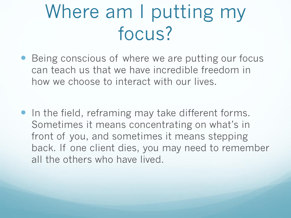## Where am I putting my focus?

- Being conscious of where we are putting our focus can teach us that we have incredible freedom in how we choose to interact with our lives.
- In the field, reframing may take different forms. Sometimes it means concentrating on what's in front of you, and sometimes it means stepping back. If one client dies, you may need to remember all the others who have lived.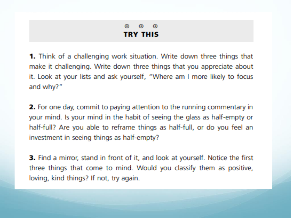#### $\odot$  $\odot$  $\odot$ **TRY THIS**

**1.** Think of a challenging work situation. Write down three things that make it challenging. Write down three things that you appreciate about it. Look at your lists and ask yourself, "Where am I more likely to focus and why?"

**2.** For one day, commit to paying attention to the running commentary in your mind. Is your mind in the habit of seeing the glass as half-empty or half-full? Are you able to reframe things as half-full, or do you feel an investment in seeing things as half-empty?

**3.** Find a mirror, stand in front of it, and look at yourself. Notice the first three things that come to mind. Would you classify them as positive, loving, kind things? If not, try again.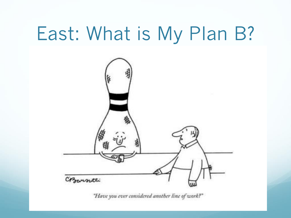### East: What is My Plan B?



"Have you ever considered another line of work?"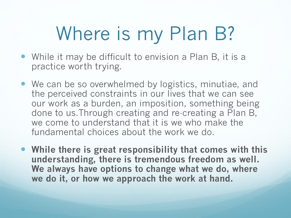# Where is my Plan B?

- While it may be difficult to envision a Plan B, it is a practice worth trying.
- We can be so overwhelmed by logistics, minutiae, and the perceived constraints in our lives that we can see our work as a burden, an imposition, something being done to us.Through creating and re-creating a Plan B, we come to understand that it is we who make the fundamental choices about the work we do.
- **While there is great responsibility that comes with this understanding, there is tremendous freedom as well. We always have options to change what we do, where we do it, or how we approach the work at hand.**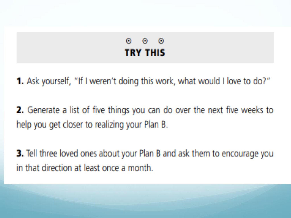#### ⊙ െര **TRY THIS**

**1.** Ask yourself, "If I weren't doing this work, what would I love to do?"

**2.** Generate a list of five things you can do over the next five weeks to help you get closer to realizing your Plan B.

**3.** Tell three loved ones about your Plan B and ask them to encourage you in that direction at least once a month.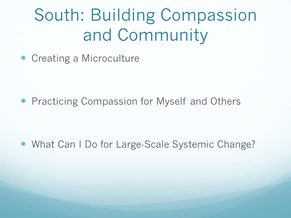### South: Building Compassion and Community

• Creating a Microculture

**• Practicing Compassion for Myself and Others** 

• What Can I Do for Large-Scale Systemic Change?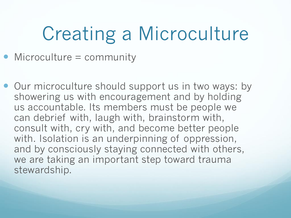# Creating a Microculture

- Microculture = community
- Our microculture should support us in two ways: by showering us with encouragement and by holding us accountable. Its members must be people we can debrief with, laugh with, brainstorm with, consult with, cry with, and become better people with. Isolation is an underpinning of oppression, and by consciously staying connected with others, we are taking an important step toward trauma stewardship.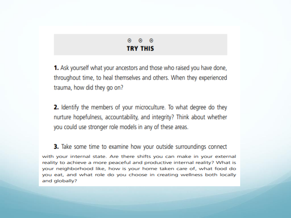$0 \quad 0 \quad 0$ **TRY THIS** 

**1.** Ask yourself what your ancestors and those who raised you have done, throughout time, to heal themselves and others. When they experienced trauma, how did they go on?

**2.** Identify the members of your microculture. To what degree do they nurture hopefulness, accountability, and integrity? Think about whether you could use stronger role models in any of these areas.

**3.** Take some time to examine how your outside surroundings connect with your internal state. Are there shifts you can make in your external reality to achieve a more peaceful and productive internal reality? What is your neighborhood like, how is your home taken care of, what food do you eat, and what role do you choose in creating wellness both locally and globally?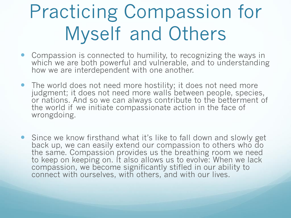# Practicing Compassion for Myself and Others

- Compassion is connected to humility, to recognizing the ways in which we are both powerful and vulnerable, and to understanding how we are interdependent with one another.
- The world does not need more hostility; it does not need more judgment; it does not need more walls between people, species, or nations. And so we can always contribute to the betterment of the world if we initiate compassionate action in the face of wrongdoing.
- Since we know firsthand what it's like to fall down and slowly get back up, we can easily extend our compassion to others who do the same. Compassion provides us the breathing room we need to keep on keeping on. It also allows us to evolve: When we lack compassion, we become significantly stifled in our ability to connect with ourselves, with others, and with our lives.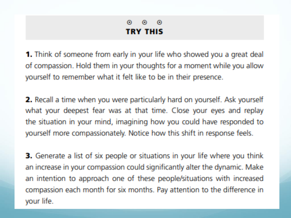#### െ  $\odot$ ⊙ **TRY THIS**

**1.** Think of someone from early in your life who showed you a great deal of compassion. Hold them in your thoughts for a moment while you allow yourself to remember what it felt like to be in their presence.

**2.** Recall a time when you were particularly hard on yourself. Ask yourself what your deepest fear was at that time. Close your eyes and replay the situation in your mind, imagining how you could have responded to yourself more compassionately. Notice how this shift in response feels.

3. Generate a list of six people or situations in your life where you think an increase in your compassion could significantly alter the dynamic. Make an intention to approach one of these people/situations with increased compassion each month for six months. Pay attention to the difference in your life.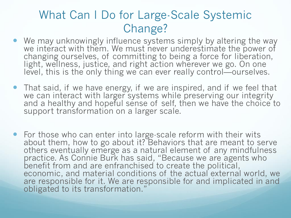#### What Can I Do for Large-Scale Systemic Change?

- We may unknowingly influence systems simply by altering the way we interact with them. We must never underestimate the power of changing ourselves, of committing to being a force for liberation, light, wellness, justice, and right action wherever we go. On one level, this is the only thing we can ever really control—ourselves.
- That said, if we have energy, if we are inspired, and if we feel that we can interact with larger systems while preserving our integrity and a healthy and hopeful sense of self, then we have the choice to support transformation on a larger scale.
- For those who can enter into large-scale reform with their wits about them, how to go about it? Behaviors that are meant to serve others eventually emerge as a natural element of any mindfulness practice. As Connie Burk has said, "Because we are agents who benefit from and are enfranchised to create the political, economic, and material conditions of the actual external world, we are responsible for it. We are responsible for and implicated in and obligated to its transformation."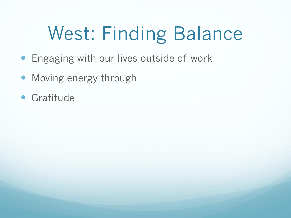# West: Finding Balance

- **Engaging with our lives outside of work**
- Moving energy through
- **Gratitude**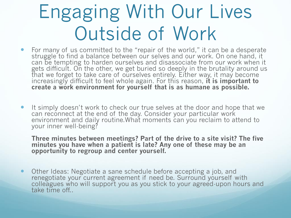## Engaging With Our Lives Outside of Work

- For many of us committed to the "repair of the world," it can be a desperate struggle to find a balance between our selves and our work. On one hand, it can be tempting to harden ourselves and disassociate from our work when it gets difficult. On the other, we get buried so deeply in the brutality around us that we forget to take care of ourselves entirely. Either way, it may become increasingly difficult to feel whole again. For this reason, **it is important to create a work environment for yourself that is as humane as possible.**
- It simply doesn't work to check our true selves at the door and hope that we can reconnect at the end of the day. Consider your particular work environment and daily routine.What moments can you reclaim to attend to your inner well-being?

**Three minutes between meetings? Part of the drive to a site visit? The five minutes you have when a patient is late? Any one of these may be an opportunity to regroup and center yourself.**

 Other Ideas: Negotiate a sane schedule before accepting a job, and renegotiate your current agreement if need be. Surround yourself with colleagues who will support you as you stick to your agreed-upon hours and take time off..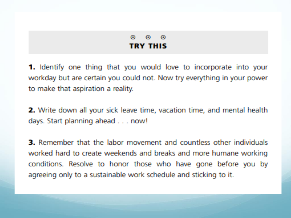#### ⋒  $\odot$   $\odot$ **TRY THIS**

**1.** Identify one thing that you would love to incorporate into your workday but are certain you could not. Now try everything in your power to make that aspiration a reality.

**2.** Write down all your sick leave time, vacation time, and mental health days. Start planning ahead . . . now!

**3.** Remember that the labor movement and countless other individuals worked hard to create weekends and breaks and more humane working conditions. Resolve to honor those who have gone before you by agreeing only to a sustainable work schedule and sticking to it.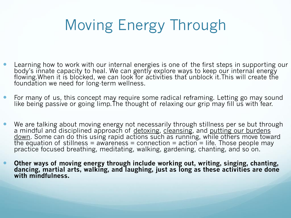### Moving Energy Through

- Learning how to work with our internal energies is one of the first steps in supporting our body's innate capacity to heal. We can gently explore ways to keep our internal energy flowing.When it is blocked, we can look for activities that unblock it.This will create the foundation we need for long-term wellness.
- **•** For many of us, this concept may require some radical reframing. Letting go may sound like being passive or going limp.The thought of relaxing our grip may fill us with fear.
- We are talking about moving energy not necessarily through stillness per se but through a mindful and disciplined approach of detoxing, cleansing, and putting our burdens down. Some can do this using rapid actions such as running, while others move toward the equation of stillness = awareness = connection = action = life. Those people may practice focused breathing, meditating, walking, gardening, chanting, and so on.
- **Other ways of moving energy through include working out, writing, singing, chanting, dancing, martial arts, walking, and laughing, just as long as these activities are done with mindfulness.**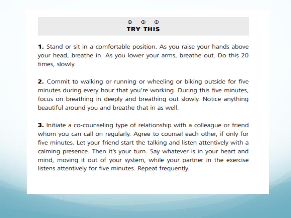#### $\odot$   $\odot$  $\bullet$  . **TRY THIS**

**1.** Stand or sit in a comfortable position. As you raise your hands above your head, breathe in. As you lower your arms, breathe out. Do this 20 times, slowly.

**2.** Commit to walking or running or wheeling or biking outside for five minutes during every hour that you're working. During this five minutes, focus on breathing in deeply and breathing out slowly. Notice anything beautiful around you and breathe that in as well.

**3.** Initiate a co-counseling type of relationship with a colleague or friend whom you can call on regularly. Agree to counsel each other, if only for five minutes. Let your friend start the talking and listen attentively with a calming presence. Then it's your turn. Say whatever is in your heart and mind, moving it out of your system, while your partner in the exercise listens attentively for five minutes. Repeat frequently.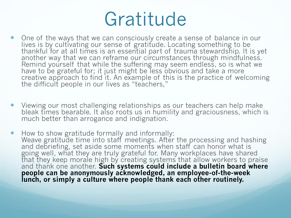### Gratitude

- One of the ways that we can consciously create a sense of balance in our lives is by cultivating our sense of gratitude. Locating something to be thankful for at all times is an essential part of trauma stewardship. It is yet another way that we can reframe our circumstances through mindfulness. Remind yourself that while the suffering may seem endless, so is what we have to be grateful for; it just might be less obvious and take a more creative approach to find it. An example of this is the practice of welcoming the difficult people in our lives as "teachers,"
- Viewing our most challenging relationships as our teachers can help make bleak times bearable. It also roots us in humility and graciousness, which is much better than arrogance and indignation.
- How to show gratitude formally and informally: Weave gratitude time into staff meetings. After the processing and hashing and debriefing, set aside some moments when staff can honor what is going well, what they are truly grateful for. Many workplaces have shared that they keep morale high by creating systems that allow workers to praise and thank one another. **Such systems could include a bulletin board where people can be anonymously acknowledged, an employee-of-the-week lunch, or simply a culture where people thank each other routinely.**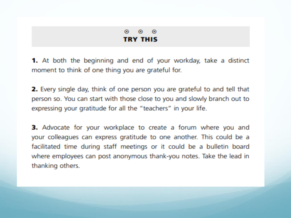#### ⊙  $\odot$  $\odot$ **TRY THIS**

1. At both the beginning and end of your workday, take a distinct moment to think of one thing you are grateful for.

2. Every single day, think of one person you are grateful to and tell that person so. You can start with those close to you and slowly branch out to expressing your gratitude for all the "teachers" in your life.

**3.** Advocate for your workplace to create a forum where you and your colleagues can express gratitude to one another. This could be a facilitated time during staff meetings or it could be a bulletin board where employees can post anonymous thank-you notes. Take the lead in thanking others.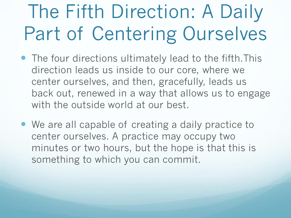# The Fifth Direction: A Daily Part of Centering Ourselves

- The four directions ultimately lead to the fifth.This direction leads us inside to our core, where we center ourselves, and then, gracefully, leads us back out, renewed in a way that allows us to engage with the outside world at our best.
- We are all capable of creating a daily practice to center ourselves. A practice may occupy two minutes or two hours, but the hope is that this is something to which you can commit.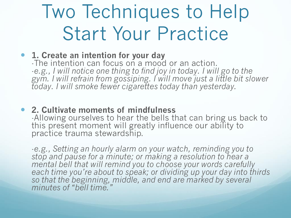## Two Techniques to Help Start Your Practice

#### **1. Create an intention for your day**

-The intention can focus on a mood or an action. -*e.g., I will notice one thing to find joy in today. I will go to the gym. I will refrain from gossiping. I will move just a little bit slower today. I will smoke fewer cigarettes today than yesterday.*

 **2. Cultivate moments of mindfulness** -Allowing ourselves to hear the bells that can bring us back to this present moment will greatly influence our ability to practice trauma stewardship.

-*e.g., Setting an hourly alarm on your watch, reminding you to stop and pause for a minute; or making a resolution to hear a mental bell that will remind you to choose your words carefully each time you're about to speak; or dividing up your day into thirds so that the beginning, middle, and end are marked by several minutes of "bell time."*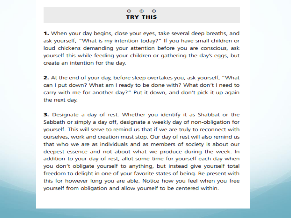#### $\odot$ ⊙  $\odot$ **TRY THIS**

1. When your day begins, close your eyes, take several deep breaths, and ask yourself, "What is my intention today?" If you have small children or loud chickens demanding your attention before you are conscious, ask yourself this while feeding your children or gathering the day's eggs, but create an intention for the day.

**2.** At the end of your day, before sleep overtakes you, ask yourself, "What can I put down? What am I ready to be done with? What don't I need to carry with me for another day?" Put it down, and don't pick it up again the next day.

**3.** Designate a day of rest. Whether you identify it as Shabbat or the Sabbath or simply a day off, designate a weekly day of non-obligation for yourself. This will serve to remind us that if we are truly to reconnect with ourselves, work and creation must stop. Our day of rest will also remind us that who we are as individuals and as members of society is about our deepest essence and not about what we produce during the week. In addition to your day of rest, allot some time for yourself each day when you don't obligate yourself to anything, but instead give yourself total freedom to delight in one of your favorite states of being. Be present with this for however long you are able. Notice how you feel when you free yourself from obligation and allow yourself to be centered within.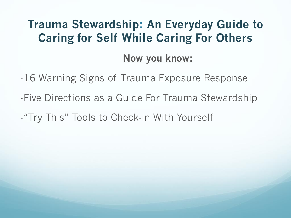#### **Trauma Stewardship: An Everyday Guide to Caring for Self While Caring For Others**

#### **Now you know:**

- -16 Warning Signs of Trauma Exposure Response
- -Five Directions as a Guide For Trauma Stewardship
- -"Try This" Tools to Check-in With Yourself